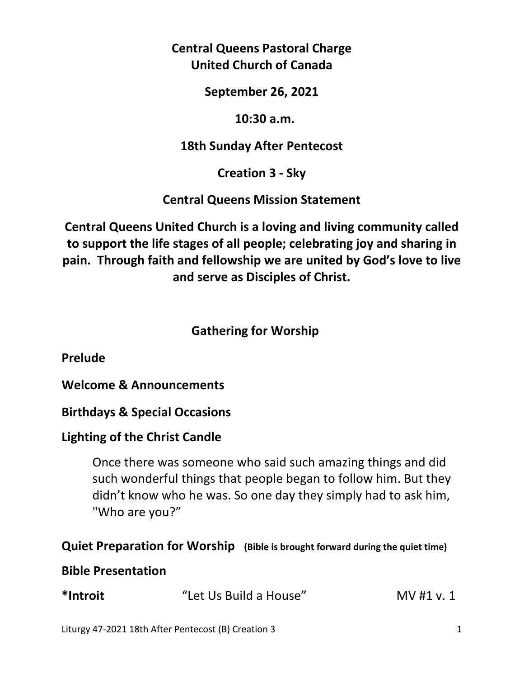# **Central Queens Pastoral Charge United Church of Canada**

**September 26, 2021** 

#### **10:30 a.m.**

### **18th Sunday After Pentecost**

# **Creation 3 - Sky**

### **Central Queens Mission Statement**

**Central Queens United Church is a loving and living community called to support the life stages of all people; celebrating joy and sharing in pain. Through faith and fellowship we are united by God's love to live and serve as Disciples of Christ.**

# **Gathering for Worship**

**Prelude** 

**Welcome & Announcements** 

### **Birthdays & Special Occasions**

# **Lighting of the Christ Candle**

 Once there was someone who said such amazing things and did such wonderful things that people began to follow him. But they didn't know who he was. So one day they simply had to ask him, "Who are you?"

### **Quiet Preparation for Worship (Bible is brought forward during the quiet time)**

#### **Bible Presentation**

| *Introit | "Let Us Build a House" | MV #1 v. 1 |
|----------|------------------------|------------|
|----------|------------------------|------------|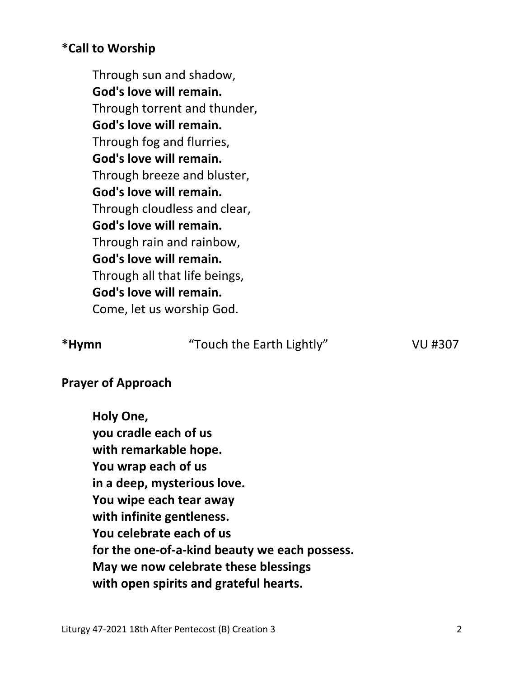### **\*Call to Worship**

 Through sun and shadow, **God's love will remain.**  Through torrent and thunder, **God's love will remain.**  Through fog and flurries, **God's love will remain.**  Through breeze and bluster, **God's love will remain.**  Through cloudless and clear, **God's love will remain.**  Through rain and rainbow, **God's love will remain.**  Through all that life beings, **God's love will remain.**  Come, let us worship God.

**\*Hymn** "Touch the Earth Lightly" VU #307

#### **Prayer of Approach**

 **Holy One, you cradle each of us with remarkable hope. You wrap each of us in a deep, mysterious love. You wipe each tear away with infinite gentleness. You celebrate each of us for the one-of-a-kind beauty we each possess. May we now celebrate these blessings with open spirits and grateful hearts.**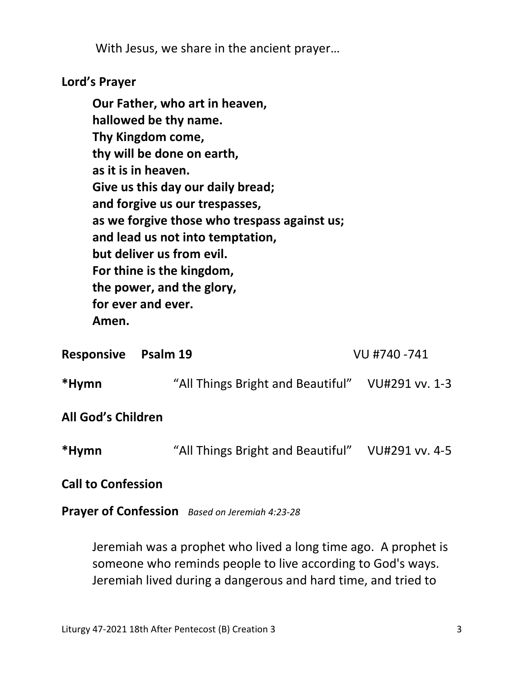With Jesus, we share in the ancient prayer…

### **Lord's Prayer**

**Our Father, who art in heaven, hallowed be thy name. Thy Kingdom come, thy will be done on earth, as it is in heaven. Give us this day our daily bread; and forgive us our trespasses, as we forgive those who trespass against us; and lead us not into temptation, but deliver us from evil. For thine is the kingdom, the power, and the glory, for ever and ever. Amen.** 

| Psalm 19<br><b>Responsive</b> |  | VU #740 -741                                     |  |
|-------------------------------|--|--------------------------------------------------|--|
| *Hymn                         |  | "All Things Bright and Beautiful" VU#291 vv. 1-3 |  |
| All God's Children            |  |                                                  |  |
| *Hymn                         |  | "All Things Bright and Beautiful" VU#291 vv. 4-5 |  |
| <b>Call to Confession</b>     |  |                                                  |  |

**Prayer of Confession** *Based on Jeremiah 4:23-28*

Jeremiah was a prophet who lived a long time ago. A prophet is someone who reminds people to live according to God's ways. Jeremiah lived during a dangerous and hard time, and tried to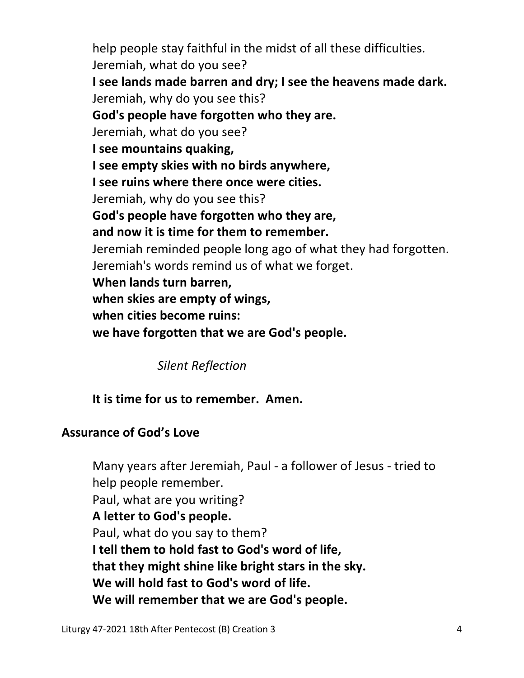help people stay faithful in the midst of all these difficulties. Jeremiah, what do you see? **I see lands made barren and dry; I see the heavens made dark.**  Jeremiah, why do you see this? **God's people have forgotten who they are.**  Jeremiah, what do you see? **I see mountains quaking, I see empty skies with no birds anywhere, I see ruins where there once were cities.**  Jeremiah, why do you see this? **God's people have forgotten who they are, and now it is time for them to remember.**  Jeremiah reminded people long ago of what they had forgotten. Jeremiah's words remind us of what we forget. **When lands turn barren, when skies are empty of wings, when cities become ruins: we have forgotten that we are God's people.** 

*Silent Reflection* 

# **It is time for us to remember. Amen.**

# **Assurance of God's Love**

Many years after Jeremiah, Paul - a follower of Jesus - tried to help people remember. Paul, what are you writing? **A letter to God's people.**  Paul, what do you say to them? **I tell them to hold fast to God's word of life, that they might shine like bright stars in the sky. We will hold fast to God's word of life. We will remember that we are God's people.**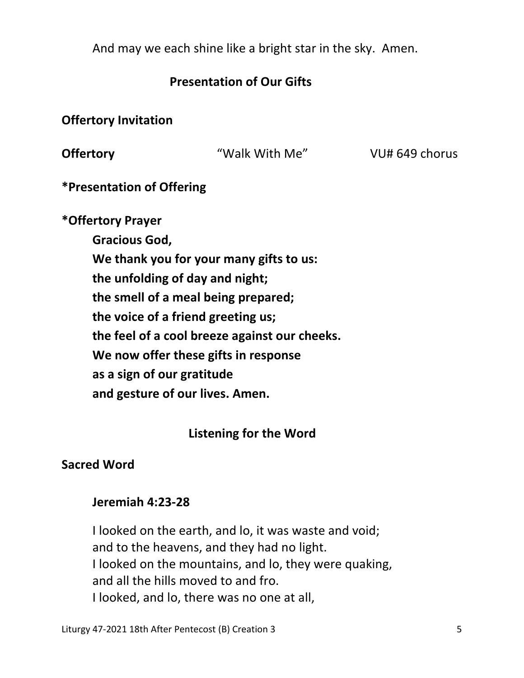And may we each shine like a bright star in the sky. Amen.

### **Presentation of Our Gifts**

**Offertory Invitation** 

**Offertory Walk With Me"** VU# 649 chorus

**\*Presentation of Offering** 

**\*Offertory Prayer** 

 **Gracious God, We thank you for your many gifts to us: the unfolding of day and night; the smell of a meal being prepared; the voice of a friend greeting us; the feel of a cool breeze against our cheeks. We now offer these gifts in response as a sign of our gratitude and gesture of our lives. Amen.** 

### **Listening for the Word**

### **Sacred Word**

#### **Jeremiah 4:23-28**

I looked on the earth, and lo, it was waste and void; and to the heavens, and they had no light. I looked on the mountains, and lo, they were quaking, and all the hills moved to and fro. I looked, and lo, there was no one at all,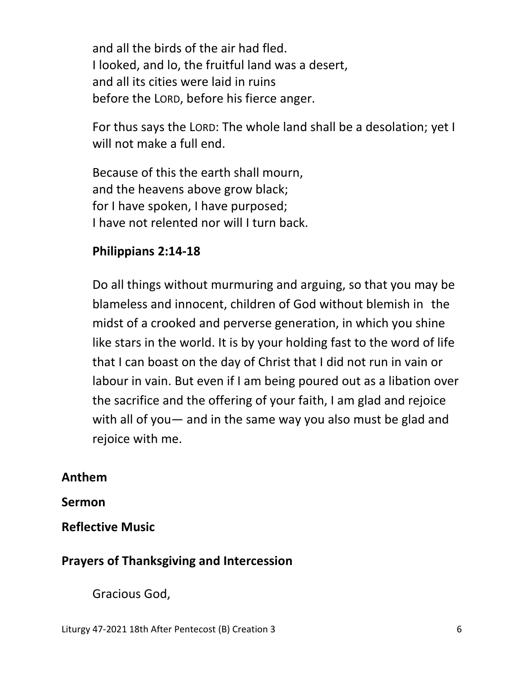and all the birds of the air had fled. I looked, and lo, the fruitful land was a desert, and all its cities were laid in ruins before the LORD, before his fierce anger.

For thus says the LORD: The whole land shall be a desolation; yet I will not make a full end.

Because of this the earth shall mourn, and the heavens above grow black; for I have spoken, I have purposed; I have not relented nor will I turn back.

# **Philippians 2:14-18**

Do all things without murmuring and arguing, so that you may be blameless and innocent, children of God without blemish in the midst of a crooked and perverse generation, in which you shine like stars in the world. It is by your holding fast to the word of life that I can boast on the day of Christ that I did not run in vain or labour in vain. But even if I am being poured out as a libation over the sacrifice and the offering of your faith, I am glad and rejoice with all of you— and in the same way you also must be glad and rejoice with me.

# **Anthem**

# **Sermon**

**Reflective Music** 

# **Prayers of Thanksgiving and Intercession**

Gracious God,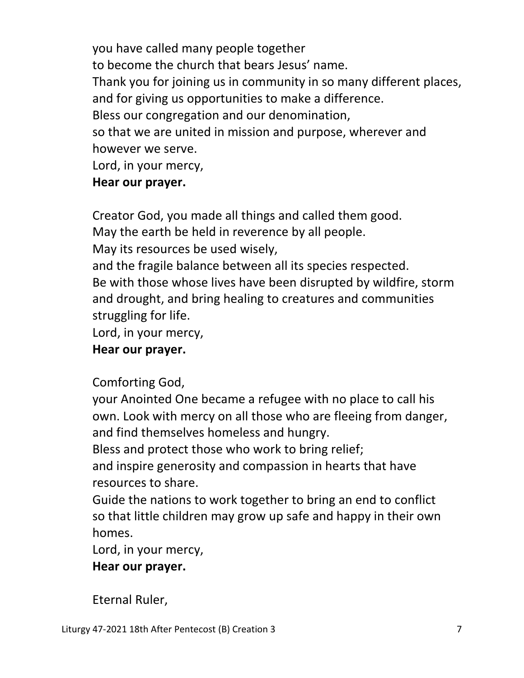you have called many people together to become the church that bears Jesus' name. Thank you for joining us in community in so many different places, and for giving us opportunities to make a difference. Bless our congregation and our denomination, so that we are united in mission and purpose, wherever and however we serve. Lord, in your mercy,

# **Hear our prayer.**

Creator God, you made all things and called them good.

May the earth be held in reverence by all people.

May its resources be used wisely,

 and the fragile balance between all its species respected. Be with those whose lives have been disrupted by wildfire, storm and drought, and bring healing to creatures and communities struggling for life.

Lord, in your mercy,

# **Hear our prayer.**

Comforting God,

 your Anointed One became a refugee with no place to call his own. Look with mercy on all those who are fleeing from danger, and find themselves homeless and hungry.

Bless and protect those who work to bring relief;

 and inspire generosity and compassion in hearts that have resources to share.

 Guide the nations to work together to bring an end to conflict so that little children may grow up safe and happy in their own homes.

Lord, in your mercy,

# **Hear our prayer.**

Eternal Ruler,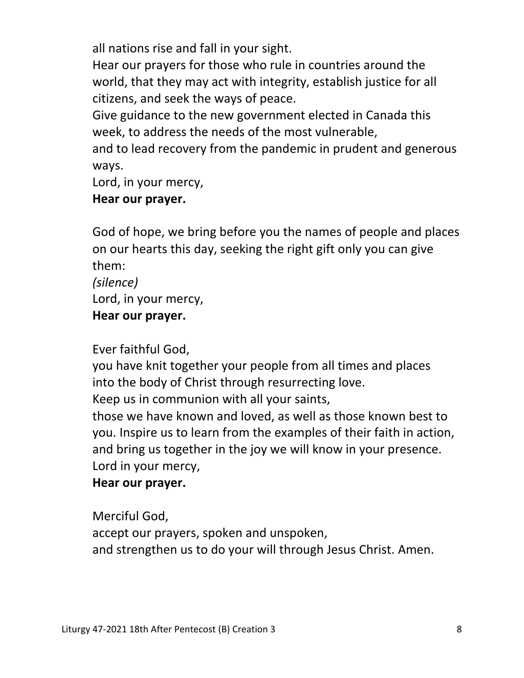all nations rise and fall in your sight.

 Hear our prayers for those who rule in countries around the world, that they may act with integrity, establish justice for all citizens, and seek the ways of peace.

 Give guidance to the new government elected in Canada this week, to address the needs of the most vulnerable,

 and to lead recovery from the pandemic in prudent and generous ways.

Lord, in your mercy,

### **Hear our prayer.**

 God of hope, we bring before you the names of people and places on our hearts this day, seeking the right gift only you can give them:

 *(silence)*  Lord, in your mercy,  **Hear our prayer.** 

Ever faithful God,

 you have knit together your people from all times and places into the body of Christ through resurrecting love. Keep us in communion with all your saints, those we have known and loved, as well as those known best to you. Inspire us to learn from the examples of their faith in action, and bring us together in the joy we will know in your presence. Lord in your mercy,

### **Hear our prayer.**

 Merciful God, accept our prayers, spoken and unspoken, and strengthen us to do your will through Jesus Christ. Amen.